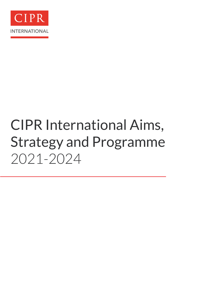

# CIPR International Aims, Strategy and Programme 2021-2024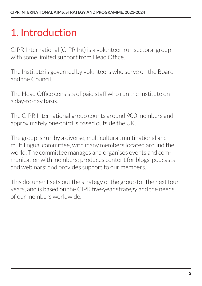### 1. Introduction

CIPR International (CIPR Int) is a volunteer-run sectoral group with some limited support from Head Office.

The Institute is governed by volunteers who serve on the Board and the Council.

The Head Office consists of paid staff who run the Institute on a day-to-day basis.

The CIPR International group counts around 900 members and approximately one-third is based outside the UK.

The group is run by a diverse, multicultural, multinational and multilingual committee, with many members located around the world. The committee manages and organises events and communication with members; produces content for blogs, podcasts and webinars; and provides support to our members.

This document sets out the strategy of the group for the next four years, and is based on the CIPR five-year strategy and the needs of our members worldwide.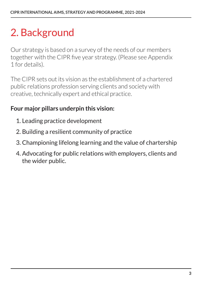# 2. Background

Our strategy is based on a survey of the needs of our members together with the CIPR five year strategy. (Please see Appendix 1 for details).

The CIPR sets out its vision as the establishment of a chartered public relations profession serving clients and society with creative, technically expert and ethical practice.

#### **Four major pillars underpin this vision:**

- 1. Leading practice development
- 2. Building a resilient community of practice
- 3. Championing lifelong learning and the value of chartership
- 4. Advocating for public relations with employers, clients and the wider public.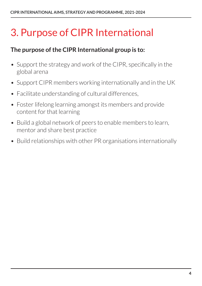### 3. Purpose of CIPR International

#### **The purpose of the CIPR International group is to:**

- Support the strategy and work of the CIPR, specifically in the global arena
- Support CIPR members working internationally and in the UK
- Facilitate understanding of cultural differences,
- Foster lifelong learning amongst its members and provide content for that learning
- Build a global network of peers to enable members to learn, mentor and share best practice
- Build relationships with other PR organisations internationally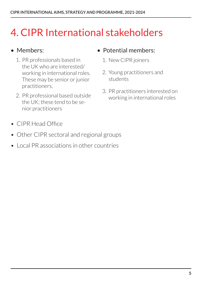### 4. CIPR International stakeholders

#### • Members:

- 1. PR professionals based in the UK who are interested/ working in international roles. These may be senior or junior practitioners.
- 2. PR professional based outside the UK; these tend to be senior practitioners
- Potential members:
	- 1. New CIPR joiners
	- 2. Young practitioners and students
	- 3. PR practitioners interested on working in international roles

- CIPR Head Office
- Other CIPR sectoral and regional groups
- Local PR associations in other countries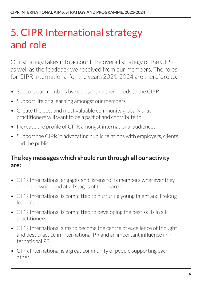### 5. CIPR International strategy and role

Our strategy takes into account the overall strategy of the CIPR as well as the feedback we received from our members. The roles for CIPR International for the years 2021-2024 are therefore to:

- Support our members by representing their needs to the CIPR
- Support lifelong learning amongst our members
- Create the best and most valuable community globally that practitioners will want to be a part of and contribute to
- Increase the profile of CIPR amongst international audiences
- Support the CIPR in advocating public relations with employers, clients and the public

#### **The key messages which should run through all our activity are:**

- CIPR International engages and listens to its members wherever they are in the world and at all stages of their career.
- CIPR International is committed to nurturing young talent and lifelong learning.
- CIPR International is committed to developing the best skills in all practitioners.
- CIPR International aims to become the centre of excellence of thought and best practice in international PR and an important influence in international PR.
- CIPR International is a great community of people supporting each other.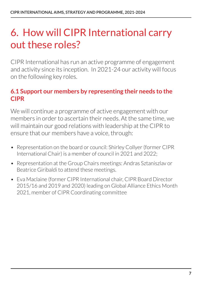### 6. How will CIPR International carry out these roles?

CIPR International has run an active programme of engagement and activity since its inception. In 2021-24 our activity will focus on the following key roles.

#### **6.1 Support our members by representing their needs to the CIPR**

We will continue a programme of active engagement with our members in order to ascertain their needs. At the same time, we will maintain our good relations with leadership at the CIPR to ensure that our members have a voice, through:

- Representation on the board or council: Shirley Collyer (former CIPR International Chair) is a member of council in 2021 and 2022;
- Representation at the Group Chairs meetings: Andras Sztaniszlav or Beatrice Giribaldi to attend these meetings.
- Eva Maclaine (former CIPR International chair, CIPR Board Director 2015/16 and 2019 and 2020) leading on Global Alliance Ethics Month 2021, member of CIPR Coordinating committee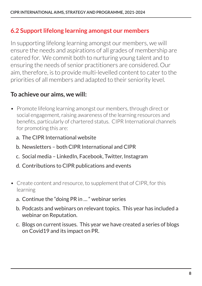#### **6.2 Support lifelong learning amongst our members**

In supporting lifelong learning amongst our members, we will ensure the needs and aspirations of all grades of membership are catered for. We commit both to nurturing young talent and to ensuring the needs of senior practitioners are considered. Our aim, therefore, is to provide multi-levelled content to cater to the priorities of all members and adapted to their seniority level.

#### **To achieve our aims, we will:**

- Promote lifelong learning amongst our members, through direct or social engagement, raising awareness of the learning resources and benefits, particularly of chartered status. CIPR International channels for promoting this are:
	- a. The CIPR International website
	- b. Newsletters both CIPR International and CIPR
	- c. Social media LinkedIn, Facebook, Twitter, Instagram
	- d. Contributions to CIPR publications and events
- Create content and resource, to supplement that of CIPR, for this learning
	- a. Continue the "doing PR in … " webinar series
	- b. Podcasts and webinars on relevant topics. This year has included a webinar on Reputation.
	- c. Blogs on current issues. This year we have created a series of blogs on Covid19 and its impact on PR.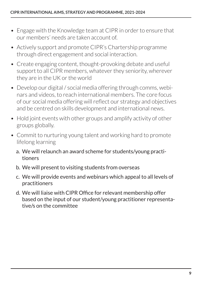- Engage with the Knowledge team at CIPR in order to ensure that our members' needs are taken account of.
- Actively support and promote CIPR's Chartership programme through direct engagement and social interaction.
- Create engaging content, thought-provoking debate and useful support to all CIPR members, whatever they seniority, wherever they are in the UK or the world
- Develop our digital / social media offering through comms, webinars and videos, to reach international members. The core focus of our social media offering will reflect our strategy and objectives and be centred on skills development and international news.
- Hold joint events with other groups and amplify activity of other groups globally.
- Commit to nurturing young talent and working hard to promote lifelong learning
	- a. We will relaunch an award scheme for students/young practitioners
	- b. We will present to visiting students from overseas
	- c. We will provide events and webinars which appeal to all levels of practitioners
	- d. We will liaise with CIPR Office for relevant membership offer based on the input of our student/young practitioner representative/s on the committee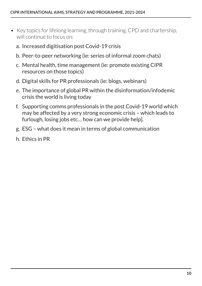- Key topics for lifelong learning, through training, CPD and chartership, will continue to focus on:
	- a. Increased digitisation post Covid-19 crisis
	- b. Peer-to-peer networking (ie: series of informal zoom chats)
	- c. Mental health, time management (ie: promote existing CIPR resources on those topics)
	- d. Digital skills for PR professionals (ie: blogs, webinars)
	- e. The importance of global PR within the disinformation/infodemic crisis the world is living today
	- f. Supporting comms professionals in the post Covid-19 world which may be affected by a very strong economic crisis – which leads to furlough, losing jobs etc… how can we provide help].
	- g. ESG what does it mean in terms of global communication
	- h. Ethics in PR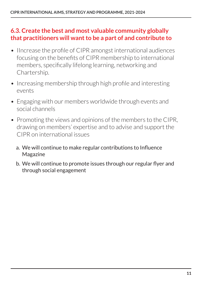#### **6.3. Create the best and most valuable community globally that practitioners will want to be a part of and contribute to**

- Increase the profile of CIPR amongst international audiences focusing on the benefits of CIPR membership to international members, specifically lifelong learning, networking and Chartership.
- Increasing membership through high profile and interesting events
- Engaging with our members worldwide through events and social channels
- Promoting the views and opinions of the members to the CIPR, drawing on members' expertise and to advise and support the CIPR on international issues
	- a. We will continue to make regular contributions to Influence Magazine
	- b. We will continue to promote issues through our regular flyer and through social engagement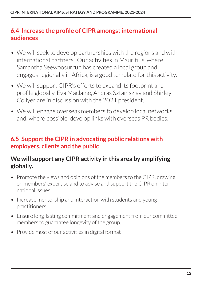#### **6.4 Increase the profile of CIPR amongst international audiences**

- We will seek to develop partnerships with the regions and with international partners. Our activities in Mauritius, where Samantha Seewoosurrun has created a local group and engages regionally in Africa, is a good template for this activity.
- We will support CIPR's efforts to expand its footprint and profile globally. Eva Maclaine, Andras Sztaniszlav and Shirley Collyer are in discussion with the 2021 president.
- We will engage overseas members to develop local networks and, where possible, develop links with overseas PR bodies.

#### **6.5 Support the CIPR in advocating public relations with employers, clients and the public**

#### **We will support any CIPR activity in this area by amplifying globally.**

- Promote the views and opinions of the members to the CIPR, drawing on members' expertise and to advise and support the CIPR on international issues
- Increase mentorship and interaction with students and young practitioners.
- Ensure long-lasting commitment and engagement from our committee members to guarantee longevity of the group.
- Provide most of our activities in digital format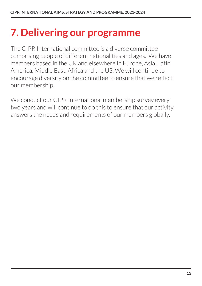### **7. Delivering our programme**

The CIPR International committee is a diverse committee comprising people of different nationalities and ages. We have members based in the UK and elsewhere in Europe, Asia, Latin America, Middle East, Africa and the US. We will continue to encourage diversity on the committee to ensure that we reflect our membership.

We conduct our CIPR International membership survey every two years and will continue to do this to ensure that our activity answers the needs and requirements of our members globally.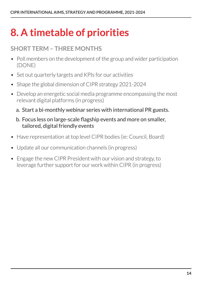## **8. A timetable of priorities**

### **SHORT TERM – THREE MONTHS**

- Poll members on the development of the group and wider participation (DONE)
- Set out quarterly targets and KPIs for our activities
- Shape the global dimension of CIPR strategy 2021-2024
- Develop an energetic social media programme encompassing the most relevant digital platforms (in progress)
	- a. Start a bi-monthly webinar series with international PR guests.
	- b. Focus less on large-scale flagship events and more on smaller, tailored, digital friendly events
- Have representation at top level CIPR bodies (ie: Council, Board)
- Update all our communication channels (in progress)
- Engage the new CIPR President with our vision and strategy, to leverage further support for our work within CIPR (in progress)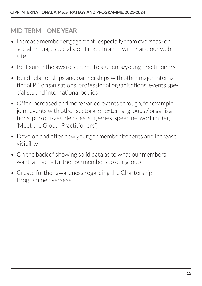#### **MID-TERM – ONE YEAR**

- Increase member engagement (especially from overseas) on social media, especially on LinkedIn and Twitter and our website
- Re-Launch the award scheme to students/young practitioners
- Build relationships and partnerships with other major international PR organisations, professional organisations, events specialists and international bodies
- Offer increased and more varied events through, for example, joint events with other sectoral or external groups / organisations, pub quizzes, debates, surgeries, speed networking (eg 'Meet the Global Practitioners')
- Develop and offer new younger member benefits and increase visibility
- On the back of showing solid data as to what our members want, attract a further 50 members to our group
- Create further awareness regarding the Chartership Programme overseas.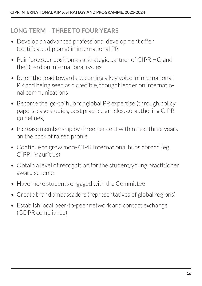#### **LONG-TERM – THREE TO FOUR YEARS**

- Develop an advanced professional development offer (certificate, diploma) in international PR
- Reinforce our position as a strategic partner of CIPR HQ and the Board on international issues
- Be on the road towards becoming a key voice in international PR and being seen as a credible, thought leader on international communications
- Become the 'go-to' hub for global PR expertise (through policy papers, case studies, best practice articles, co-authoring CIPR guidelines)
- Increase membership by three per cent within next three years on the back of raised profile
- Continue to grow more CIPR International hubs abroad (eg. CIPRI Mauritius)
- Obtain a level of recognition for the student/young practitioner award scheme
- Have more students engaged with the Committee
- Create brand ambassadors (representatives of global regions)
- Establish local peer-to-peer network and contact exchange (GDPR compliance)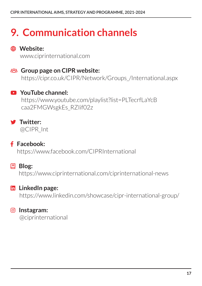# **9. Communication channels**

### $\bigoplus$  Website:

www.ciprinternational.com

**EB3** Group page on CIPR website: https://cipr.co.uk/CIPR/Network/Groups\_/International.aspx

### youtube **YouTube channel:**

 https://www.youtube.com/playlist?list=PLTecrfLaYcB caa2FMGWsgkEs\_RZIif02z

#### twitter **Twitter:**

@CIPR\_Int

#### **f** Facebook:

https://www.facebook.com/CIPRInternational

#### **国** Blog:

https://www.ciprinternational.com/ciprinternational-news

#### **lin** LinkedIn page:

https://www.linkedin.com/showcase/cipr-international-group/

#### instagram **Instagram:**

@ciprinternational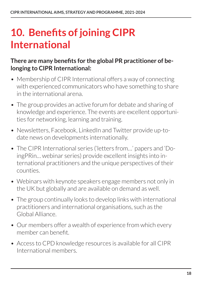### **10. Benefits of joining CIPR International**

#### **There are many benefits for the global PR practitioner of belonging to CIPR International:**

- Membership of CIPR International offers a way of connecting with experienced communicators who have something to share in the international arena.
- The group provides an active forum for debate and sharing of knowledge and experience. The events are excellent opportunities for networking, learning and training.
- Newsletters, Facebook, LinkedIn and Twitter provide up-todate news on developments internationally.
- The CIPR International series ('letters from…' papers and 'DoingPRin… webinar series) provide excellent insights into international practitioners and the unique perspectives of their counties.
- Webinars with keynote speakers engage members not only in the UK but globally and are available on demand as well.
- The group continually looks to develop links with international practitioners and international organisations, such as the Global Alliance.
- Our members offer a wealth of experience from which every member can benefit.
- Access to CPD knowledge resources is available for all CIPR International members.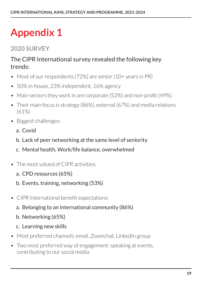# **Appendix 1**

### **2020 SURVEY**

#### The CIPR International survey revealed the following key trends:

- Most of our respondents (72%) are senior (10+ years in PR)
- 50% in-house, 23% independent, 16% agency
- Main sectors they work in are corporate (52%) and non-profit (49%)
- Their main focus is strategy (86%), external (67%) and media relations (61%)
- Biggest challenges:
	- a. Covid
	- b. Lack of peer networking at the same level of seniority
	- c. Mental health, Work/life balance, overwhelmed
- The most valued of CIPR activities:
	- a. CPD resources (65%)
	- b. Events, training, networking (53%)
- CIPR International benefit expectations:
	- a. Belonging to an international community (86%)
	- b. Networking (65%)
	- c. Learning new skills
- Most preferred channels: email, Zoomchat, LinkedIn group
- Two most preferred way of engagement: speaking at events, contributing to our social media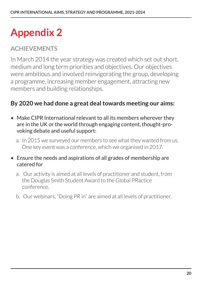# **Appendix 2**

### **ACHIEVEMENTS**

In March 2014 the year strategy was created which set out short, medium and long term priorities and objectives. Our objectives were ambitious and involved reinvigorating the group, developing a programme, increasing member engagement, attracting new members and building relationships.

#### **By 2020 we had done a great deal towards meeting our aims:**

- Make CIPR International relevant to all its members wherever they are in the UK or the world through engaging content, thought-provoking debate and useful support:
	- a. In 2015 we surveyed our members to see what they wanted from us. One key event was a conference, which we organised in 2017.
- Ensure the needs and aspirations of all grades of membership are catered for
	- a. Our activity is aimed at all levels of practitioner and student, from the Douglas Smith Student Award to the Global PRactice conference.
	- b. Our webinars, "Doing PR in" are aimed at all levels of practitioner.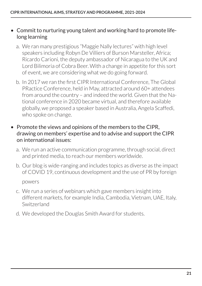#### • Commit to nurturing young talent and working hard to promote lifelong learning

- a. We ran many prestigious "Maggie Nally lectures" with high level speakers including Robyn De Villiers of Burson Marsteller, Africa; Ricardo Carioni, the deputy ambassador of Nicaragua to the UK and Lord Bilimoria of Cobra Beer. With a change in appetite for this sort of event, we are considering what we do going forward.
- b. In 2017 we ran the first CIPR International Conference, The Global PRactice Conference, held in May, attracted around 60+ attendees from around the country – and indeed the world. Given that the National conference in 2020 became virtual, and therefore available globally, we proposed a speaker based in Australia, Angela Scaffedi, who spoke on change.
- Promote the views and opinions of the members to the CIPR, drawing on members' expertise and to advise and support the CIPR on international issues:
	- a. We run an active communication programme, through social, direct and printed media, to reach our members worldwide.
	- b. Our blog is wide-ranging and includes topics as diverse as the impact of COVID 19, continuous development and the use of PR by foreign

powers

- c. We run a series of webinars which gave members insight into different markets, for example India, Cambodia, Vietnam, UAE, Italy, Switzerland
- d. We developed the Douglas Smith Award for students.